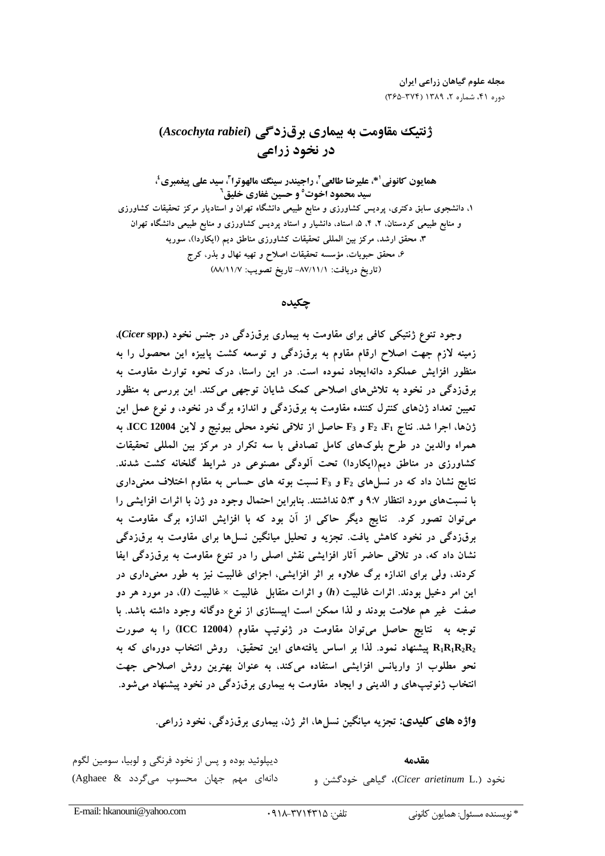# ژنتیک مقاومت به بیماری برقزدگی (Ascochyta rabiei) در نخود زراعی

همايون كانوني'\*، عليرضا طالعي'، راجيندر سينگ مالهوترا'، سيد علي پيغمبري'، سید محمود اخوت° و حسین غفاری خلیق<sup>۲</sup> ۱، دانشجوی سابق دکتری، پردیس کشاورزی و منابع طبیعی دانشگاه تهران و استادیار مرکز تحقیقات کشاورزی و منابع طبیعی کردستان، ۲، ۴، ۵، استاد، دانشیار و استاد پردیس کشاورزی و منابع طبیعی دانشگاه تهران ۳، محقق ارشد، مرکز بین المللی تحقیقات کشاورزی مناطق دیم (ایکاردا)، سوریه ۶، محقق حبوبات، مؤسسه تحقیقات اصلاح و تهیه نهال و بذر، کرج (تاريخ دريافت: ٨٧/١١/١- تاريخ تصويب: ٨٨/١١/٧)

### حكىدە

وجود تنوع ژنتیکی کافی برای مقاومت به بیماری برق(دگی در جنس نخود (Cicer spp.)، زمینه لازم جهت اصلاح ارقام مقاوم به برق(دگی و توسعه کشت پاییزه این محصول را به منظور افزایش عملکرد دانهایجاد نموده است. در این راستا، درک نحوه توارث مقاومت به برقزدگی در نخود به تلاش های اصلاحی کمک شایان توجهی می کند. این بررسی به منظور تعیین تعداد ژنهای کنترل کننده مقاومت به برقزدگی و اندازه برگ در نخود، و نوع عمل این ژنها، اجرا شد. نتاج F3 و F3 حاصل از تلاقی نخود محلی بیونیج و لاین ICC 12004، به همراه والدین در طرح بلوکهای کامل تصادفی با سه تکرار در مرکز بین المللی تحقیقات کشاورزی در مناطق دیم(ایکاردا) تحت آلودگی مصنوعی در شرایط گلخانه کشت شدند. نتایج نشان داد که در نسلهای  $\mathbf{F}_2$  و  $\mathbf{F}_3$  نسبت بوته های حساس به مقاوم اختلاف معنیداری با نسبتهای مورد انتظار ۹:۷ و ۵:۳ نداشتند. بنابراین احتمال وجود دو ژن با اثرات افزایشی را می توان تصور کرد. نتایج دیگر حاکی از آن بود که با افزایش اندازه برگ مقاومت به برقزدگی در نخود کاهش یافت. تجزیه و تحلیل میانگین نسلها برای مقاومت به برقزدگی نشان داد که، در تلاقی حاضر آثار افزایشی نقش اصلی را در تنوع مقاومت به برق(دگی ایفا کردند، ولی برای اندازه برگ علاوه بر اثر افزایشی، اجزای غالبیت نیز به طور معنیداری در این امر دخیل بودند. اثرات غالبیت (h) و اثرات متقابل غالبیت × غالبیت (l)، در مورد هر دو صفت غیر هم علامت بودند و لذا ممکن است اپیستازی از نوع دوگانه وجود داشته باشد. با توجه به نتايج حاصل مى توان مقاومت در ژنوتيپ مقاوم (ICC 12004) را به صورت روش انتخاب دورهای که به R1R1R2R2 پیشنهاد نمود. لذا بر اساس یافتههای این تحقیق، روش انتخاب دورهای که به نحو مطلوب از واریانس افزایشی استفاده میکند، به عنوان بهترین روش اصلاحی جهت انتخاب ژنوتیپهای و الدینی و ایجاد مقاومت به بیماری برقزدگی در نخود پیشنهاد می شود.

واژه های کلیدی: تجزیه میانگین نسلها، اثر ژن، بیماری برقزدگی، نخود زراعی.

ديپلوئيد بوده و پس از نخود فرنگي و لوبيا، سومين لگوم مقدمه دانهای مهم جهان محسوب می گردد Aghaee & نخود (.Cicer arietinum L)، گیاهی خودگشن و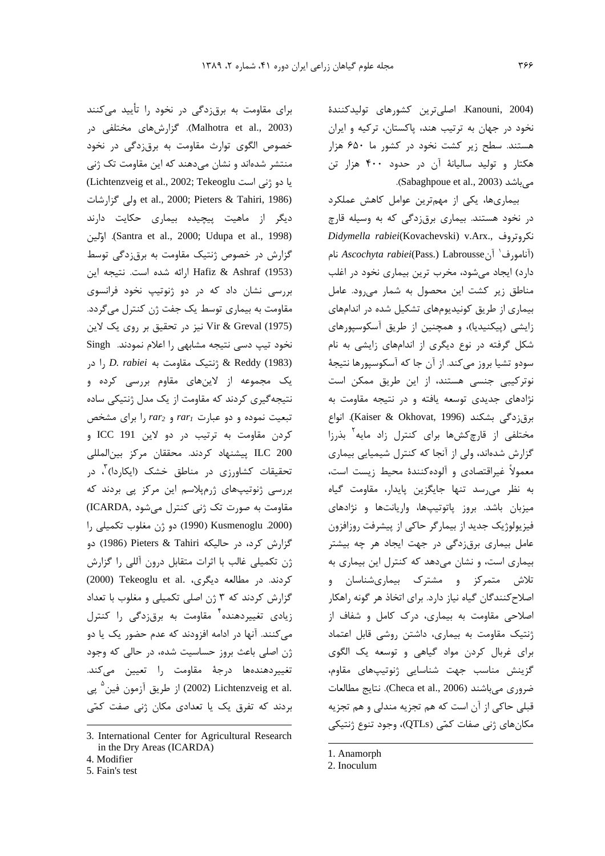نخود در جهان به ترتیب هند، پاکستان، ترکیه و ایران

ماری نخود در اغلب (Kanouni, 2004. اصلیترین کشا<br>نخود در جهان به ترتیب هند، پاکسا<br>هستند. سطح زیر کشت نخود در<br>هکتار و تولید سالیانهٔ آن در حد<br>بیماریها، یکی از مهمترین عوا<br>نکروتروف هستند. بیماری برق(دگی)<br>نکروتروف (Kovachevski) v.Arx., فاروتروف 0- 0 & 6%A- !DA2 ! C%- 6+ 89 B -مناطق زیر کشت این محصول به شمار میرود. عامل ور<br>1 هزار تن<br>1 کاهش عملکرد<br>کاهش عملکرد<br>4 به مورود. عامل<br>ار می رود. عامل<br>نخود در اغلب<br>بار می رود. مای تشکیل ه ------- سنت ريز -سنت<br>هكتار و توليد ساليانهٔ آ,<br>هيباشد (2003 .oue et al., 2003<br>بيمارىها، يكى از مهه<br>تكروتروف ( evski v.Arx., يمارى<br>(آنامورف' آنBabrousseر)<br>دارد) ايجاد مىشود، مخرب<br>مناطق زير كشت اين مح ن رکسر<br>مهمترین عوامل کاهش عملکرد<br>مهمترین عوامل کاهش عملکرد<br>Didymella rabiei(Kovachevsk<br>نخرب ترین بیماری نخود در اغلب<br>محصول به شمار می رود. عامل<br>مجصول به شمار می رود. عامل<br>مجمول به شمار می رود. عامل زایشی (پیکنیدیا)، و همچنین از طریق آسکوسپورهای مر /<br>میباشد (3<br>بیماری<br>در نخود ه<br>نکروتروف<br>انامعان زیر<br>مناطق زیر<br>بیکاری از م میباشد (Sabaghpoue et al., 2003).<br>بیماری ها، یکی از مهمترین عوامل<br>در نخود هستند. بیماری برق زدگی که<br>نکروتروف مستند. بیماری برق زدگی که<br>(آنامورف<sup>۱</sup> آنstie میشود، مخرب ترین بیماری<br>مناطق زیر کشت این محصول به شما<br>بیماری از طر سودو تشيا بروز مي كند. از آن جا كه آسكوسيورها نتيجهٔ بیمدری کند یعی از مبهارین<br>خود هستند. بیماری برق زدگو<br>تروف ' v.Arx., تروف ' v.Arx. وزوف<br>ورف' آن v.Arx. ورف' آن<br>ایجاد میشود، مخرب ترین به<br>لق زیر کشت این محصول به<br>ی (پیکنیدیا)، و همچنین از اند<br>گرفته در نوع دیگری از اند<br>گرفته WBX 6%5& 6+ 6 #/V-+ 7B%+ .D -نوتر کیے ر<br>نکرو<br>(آناه<br>ساما<br>نوتر<br>سود *Didymella rabiei*(Kovachevski) v.Arx., نژادهای ج قزدگی (آنامورف<sup>'</sup> آنAscochyta rabiei(Pass.) Labrousse نام<br>دارد) ایجاد میشود، مخرب ترین بیماری نخود در اغلب<br>مناطق زیر کشت این محصول به شمار م<sub>ی</sub>رود. عامل<br>بیماری از طریق کونیدیومهای تشکیل شده در اندامهای<br>زایشی (پیکنیدیا)، و همچنی *Ascochyta rabiei*(Pass.) LabrousseN <sub>أ</sub>كش@ا براى كنترل زاد مايه بذرزا عرب، عباد على الصحي على الصحي السلام<br>مناطق زير كشت<br>بيمارى از طريق<br>زايشى (پيكنيديا<br>شكل گرفته در<br>سودو تشيا بروز م<br>نوتركيبي جنسي<br>برقزدگي بشكند رن .<br>لا تشكيل شده در اندامهاى<br>لا تشكيل شده در اندامهاى<br>از اندامهاى زايشى به نام<br>حا كه آسكوسپورها نتيجۀ<br>ته و در نتيجه مقاومت به<br>ته و در نتيجه مقاومت به<br>ته و در نتيجه مقاومت به<br>كه كنترل زاد مايه<sup>۲</sup> بذرزا<br>كه كنترل زاد مايه<sup>۲</sup> ت ت ریر سال سی تا<br>بیماری از طریق کونیدیومهای<br>زایشی (پیکنیدیا)، و همچنیا<br>شکل گرفته در نوع دیگری<br>سودو تشیا بروز میکند. از آن<br>نژادهای جدیدی توسعه یافا<br>برقزدگی بشکند (1996 ،tt<br>مختلفی از قارچکشها برای<br>کرارش شدهاند، ولی از آنجا ی و الودهکنندهٔ محیط زیست است، بیدری ر ــریی -<br>بیدری ر ـــریی -<br>زایشی (پیکنیدیا)،<br>شکل گرفته در نو<br>سودو تشیا بروز م<sub>و</sub><br>نژادهای جدیدی<br>برقزدگی بشکند<br>گزارش شدهاند، ولا ومت گیاه L5N \ -] /0 %\_ & !( %L%2) " 0/ وز پاتوتیپها، واریانتها و نژادهای  $\overline{\phantom{a}}$ ن ر<br>سودو تشيا بروز م<br>نوتركيبى جنسى<br>نژادهاى جديدى<br>برقزدگى بشكند<br>گزارش شدهاند، و<br>گزارش شدهاند، و<br>به نظر مىرسد نرفت روزافزون و و تسية بروز سي تحد از ان الحد است<br>تركيبي جنسي هستند، از اين طريق<br>قازدگي بشكند (Sokhovat, 1996 &<br>قازدگي بشكند (Sokhovat, 1996 &<br>فتلفي از قارچ كشها براي كنترل زا<br>نمولاً غيراقتصادي و آلودهكنندهٔ محيط<br>نفلو مي رسد تنها جايگز ...<br>5 ما كان بر تر تر تر<br>4 ما ر ( ... ... )<br>ژادهای جدیدی توسعه یافته و در نتیجه مقاومت به<br>رقزدگی بشکند (Kaiser & Okhovat, 1996). انواع<br>ختلفی از قارچ کشها برای کنترل شیمیایی بیماری<br>کزارش شدهاند، ولی از آنجا که کنترل شیمیایی بیماری<br>عمولاً غیراقتصادی و آ Ì بیماری است، و نشان میدهد که کنترل این بیماری به تلاش متمرکز و مشترک بیماریشناسان و برقزدگی بشکند (Kaiser & Okhovat, 1996). ا<br>مختلفی از قارچ کشها برای کنترل زاد مایه <sup>۲</sup> به<br>گزارش شدهاند، ولی از آنجا که کنترل شیمیایی بیم<br>معمولاً غیراقتصادی و آلوده *کن*ندهٔ محیط زیست اس<br>میزبان باشد. بروز پاتوتیپها، واریانت مختلفی از قارچکشها برای کنترل زاد مایه<sup>۲</sup> بذرزا<br>گزارش شدهاند، ولی از آنجا که کنترل شیمیایی بیماری<br>معمولاً غیراقتصادی و آلودهکنندهٔ محیط زیست است،<br>به نظر می<sub>د</sub>سد تنها جایگزین پایدار، مقاومت گیاه<br>میزبان باشد. بروز پاتوتیپها .<br>لوده کنندهٔ محیط زیست است،<br>جایگزین پایدار، مقاومت گیاه<br>بتیپها، واریانتها و نژادهای<br>در جهت ایجاد هر چه بیشتر<br>در جهت ایجاد هر چه بیشتر<br>هشترک بیماریشناسان و<br>دارد. برای اتخاذ هر گونه راهکار<br>دارد. برای اتخاذ هر گونه راهکار سری ر<br>تصادی و آ<br>سد تنها<br>سروز پاتو<br>جدید از بیم<br>ومت به بیاز<br>کیاه نیاز رر ن<br>معمولاً غيراق<br>به نظر مى<br>هيزبان باشد<br>فيزيولوژيک<br>بيمارى است<br>تلاش متم<br>تلاش متم ک مقاومت به بیماری، داشتن روشی فابل اعتماد ----<br>به<br>ميز،<br>فيزي<br>تلاشا<br>تلاشا برای غربال کردن مواد گیاهی و توسعه یک الگوی -<br>ميز،<br>فيزي<br>بيما<br>تلاش<br>واحلا شناسایی ژنوتیپهای مقاوم، سرر<br>قيزيولوژيک جديد از بيم<br>فيزيولوژيک جديد از بيم<br>بيماري است، و نشان م<br>بيماري است، و نشان م<br>اصلاحي مقاومت به بيما<br>اصلاحي مقاومت به بيما<br>براي غربال كردن مواه<br>گزينش مناسب جهت وریت بنیهه روی به اسرای استان به استان به استان به استان به استان به استان استان به استان استان استان به استان<br>بیماری برق زدگی در جهت ایجاد هر چه بیشتر<br>متمرکز و هشترک بیماریشناسان و<br>کنندگان گیاه نیاز دارد. برای اتخاذ هر گ ضروري مي باشند (Checa et al., 2006). نتايج مطالعات سير<br>عاما<br>بيما<br>تلاش<br>كزينا<br>كزينا ن سنت ری برن از این در است است از سال سال سال به است و سال به این است و نشان میدهد که کنترل این بیماری به اتاث<br>تلاش متمرکز او مشترک ایبماری شناسان و اصلاح کنندگان گیاه نیاز دارد. برای اتخاذ هر گونه راهکار<br>اصلاحی مقاومت به 6+ 7B%+ 0 -D
 6 " بیدری ست و<br>بیدری ستمرکز<br>اصلاح *کن*ندگان گا<br>اصلاحی مقاومت<br>ثرینش مناسب<br>گزینش مناسب<br>گزینش مناسب<br>قبلی حاکی از آن حسب مستر الراحد المستخدم المعام المعام المعام المعام المعام المعام المعام المعام المعام المعام المعام المعام ا<br>اصلاح كنندگان گياه نياز دارد. براى اتخاذ هر گونه راهكار<br>ثانتيک مقاومت به بيمارى، داشتن روشى قابل اعتماد<br>گزينش ييز -رت برتي ----- بر<br>بيماري، درک کامل و<br>بيماري، داشتن روشي قا<br>مواد گياهي و توسعه يا<br>هت شناسايي ژنوتيپها<br>ت که هم تجزيه مندلي و<br>کمّي (QTLs)، وجود تنو<br>OTLs)، وجود تنو ستری سنت سی سیستان اسلامی<br>اصلاحی مقاومت به<br>ژنتیک مقاومت به با<br>کزینش مناسب جر<br>کوزینش مناسب جر<br>قبلی حاکی از آن اسا<br>قبلی حاکی از آن اسا ر کی در کسیس بری در استان روشی قابل اعتماد (تنیک مقاومت به بیماری، داشتن روشی قابل اعتماد (تنیک عقاوم)<br>برای غربال کردن مواد گیاهی و توسعه یک الگوی<br>گزینش مناسب جهت شناسایی ژنوتیپهای مطالعات<br>فبلی حاکی از آن است که هم تجزیه DS0 U+X Q&B DQ0 !7B%+ 6+ E&b m%D ر ہر<br>اگر آگا تھا<br>ا و - سيسمي و<br>ت شناسايبي ژا<br>heca et al., 20<br>كمّي (QTLs)، و برای الربال الربال<br>گزینش مناسب جھ<br>ضروری میباشند (06<br>قبلی حاکی از آن است<br>قبلی حاکی از آن است ر بيت التعليم مطالعات (1<br>)). نتايج مطالعات<br>ندلى و هم تجزيه<br>جود تنوع ژنتيكي<br>1. Anamorph<br>2. Inoculum ر یس کا است کا است که هم تجزیه .<br>ضروری میباشند (heca et al., 2006).<br>قبلی حاکی از آن است که هم تجزیه .<br>مکانهای ژنی صفات کمّی (QTLs). -- يبي<br><sub>ى</sub> و هم تجزيه<br>ن تنوع ژنتيكى<br>A. Anamorph 2. Inoculum ضروری میباشند (Checa et al., 2006).<br>قبلی حاکی از آن است که هم تجزیه مندل<sub>ا</sub><br>مکانهای ژنی صفات کمّی (QTLs)، وجوه<br>ا 6 KZ ; & 3 6 KZ ; 6
 E50 N /0 M aX 9& !(QTLs) v
 u?  $\overline{\phantom{a}}$ 

و- و- ديسياء على درا<br>شرهاى مختلفى در<br>برقزدگى در نخود<br>اين مقاومت تک ژنى<br>اين مقاومت تک ژنى<br>et al., ولى گزارشات<br>et al., ولى حکايت دارند<br>به بوقزدگى توسط<br>به برقزدگى توسط Hafiz & Ashraf (1953) ارائه شده است. نتيجه اين برتی سعودست به بری رسوسی در<br>فصوص الگوی توارث مقاومت<br>منتشر شدهاند و نشان میدهند آ<br>یا دو ژنی است 2002; Tekeoglu<br>یا دو ژنی است 2000; Pieters & Tahiri, 1986)<br>2000; Didupa et al., 1998)<br>گزارش در خصوص ژنتیک مقاوه<br>کارش در خصوص ژ (Malhotra et al., 2003). Malhotra et al., 2003).<br>خصوص الگوی توارث مقاومت به برقزدگی در نخود<br>منتشر شدهاند و نشان میدهند که این مقاومت تک ژنی<br>یا دو ژنی است است: Tekeoglu و Clichtenzveig et al., 2002; Tekeoglu)<br>یا دو ژنی است ِمت به بیماری توسط یک جفت ژن کنترل میگردد. ورت ستوسط به برقار سے معرضات<br>شان میدھند که این مقاومت تک<br>htenzveig et al., 2002; Tekeog<br>et al., 2000; Pieters کی پیچیدہ بیماری حکایت<br>Santra et al., 2000; Udup.<br>ن ژنتیک مقاومت به برق;دگی تم<br>Hafiz & در دو ژنوتیپ نخود فرانہ<br> --<br>منتہ<br>86)<br>مقار<br>مقاو Vir & Greval (1975) نیز در تحقیق بر روی یک لاین ان كان السيان (ichtenzveig et al., 2002; Tekeogl<br>et al., 2000; Pieters & ولى گزارشا<br>ت پيچيده بيمارى حكايت دار<br>Santra et al., 2000; Udupa). او*تل*<br>من ژنتيك مقاومت به برق;دگى توسا<br>مى شده است. نتيجه ا<sub>.</sub><br>مى كه در دو ژنوتيپ ن ا دو ژنبی اس<br>یا دو ژنبی اس<br>hiri, 1986)<br>1. اورش در -<br>13 ابررسی نشار<br>1953) بررسی نشار<br>1975) (Lichtenzveig et al., 2002; Tekeoglu سے<br>Tahiri,<br>از ماھ<br>et al.,<br>مناز shraf (مناز<br>نیب دسو<br>Freval (من ية -3 ر<br>(1986<br>ديگر<br>1998)<br>تخود تقاومت<br>مقاومت et al., 2000; Pieters & Tahiri, 1986) ولى گزارشات<br>ديگر از ماهيت پيچيده بيمارى حكايت دارند<br>گزارش در خصوص ژنتيک مقاومت به برق(دگى توسط (Santra et al., 2000; Udupa et al., 1998).<br>گزارش در خصوص ژنتيک مقاومت به برق(د یک مجموعه از لاینهای مقاوم بررسی کرده و يتر المستعمر السابعين المستعمر (Santra et al., 2000; Udupa et al., 1998).<br>كزارش در خصوص ژنتيک مقاومت به برقزدگى توس<br>بررسى نشان داد که در دو ژنوتيپ نخود فرانسو<br>مقاومت به بيمارى توسط يک جفت ژن کنترل مىگرد<br>مقاومت به بيمارى ت (Santra et al., 2000; Udupa et al., 1998). اوّلين<br>گزارش در خصوص ژنتيک مقاومت به برقزدگى توسط<br>بررسى نشان داد که در دو ژنوتيپ نخود فرانسوى<br>بررسى نشان داد که در دو ژنوتيپ نخود فرانسوى<br>مقاومت به بيمارى توسط يک جفت ژن کنترل مى دو عبارت  $\emph{rar}_1$  و  $\emph{rar}_2$  را برای مشخص #/V-+ 6+ E&b m%D رز ن ر<br>بررسی نشان<br>بررسی نشان<br>مقاومت به بیما<br>نخود تیپ دسی<br>Reddy (1983)<br>یک مجموعه<br>نتیجهگیری کرد<br>نتیجهگیری کرد كردن مقاومت به ترتيب در دو لاين ICC 191 و (1953) Hafiz & Ashraf ارائه شده است.<br>بررسی نشان داد که در دو ژنوتیپ نخود<br>مقاومت به بیماری توسط یک جفت ژن کنترل<br>نخود تیپ دسی نتیجه مشابهی را اعلام نمودز<br>نخود تیپ دسی نتیجه مشابهی را اعلام نمودز<br>2) Reddy (1983) شخصه گیری کر II پیشنهاد گردند. محققان مرکز بین|لمللی Ä بررسی نشان داد که در دو ژنوتیپ نخود فرانسوی ://<br>مقاومت<br>مقاومت<br>نخود تر<br>1983 -<br>تبعیت<br>تبعیت در مناطق خشک (ایگاردا) ، در سووست بـ بيسوري<br>37B) & Greval (1975)<br>نخود تيپ دسي نتيا<br>كردن مجموعه از<br>يك مجموعه از<br>تبعيت نموده و دو ،<br>تبعيت نموده و دو ،<br>كردن مقاومت به یز رک ی تا بر رزی ی د دین<br>شابهی را اعلام نمودند. D. rabiei در<br>ک مقاومت به D. rabiei را در<br>های مقاوم بررسی کرده و<br>ناومت از یک مدل ژنتیکی ساده<br>ب من rar<sub>2</sub> و rar<sub>2</sub> را برای مشخص<br>ب در دو لاین ابرای المللی<br>مناطق خشک (ایکاردا) لخود تیپ دسی نتیجه مشابهی را اعلام نمودند. Singh مقاومت به صورت تک ژنی کنترل میشود ,ICARDA) ت .<br>& ژنتیک مقاومت به ii<br>ز لاینهای مقاوم بر<br>د که مقاومت از یک مد<br>و عبارت  $rar_1$  بی مد<br>هاد کردند. محققان م<br>هاد کردند. محققان م<br>ی ژرمپلاسم این مرکز<br>ی ژرمپلاسم این مرکز<br>ی ژرمپلاسم این مرکز نتیک مقاومت به *D. rabiei ر*ا در<br>`ینهای مقاوم بررسی کرده و<br>فقاومت از یک مدل ژنتیکی ساده<br>بارت *rar<sub>1</sub> و rar<sub>2</sub> ر*ا برای مشخص<br>کردند. محققان مرکز بینالمللی<br>کردند. محققان مرکز بینالمللی<br>در مناطق خشک (ایکاردا) ، در<br>زنی کنترل م l & Reddy (1983)<br>یک مجموعه از لا<br>نتیجهگیری کردند که<br>نتیجهگیری کردند که<br>تبعیت نموده و دو ع<br>تحقیقات کشاورزی<br>تحقیقات کشاورزی<br>بررسی ژنوتیپهای ز<br>مقاومت به صورت تکا & - 5B-+ 4&b 7 h /0 6S-ـَـــَــــَـجه *گیر و*<br>نتیجه *گیر و*<br>تبعیت نمو<br>کردن مقا<br>تحقیقات<br>مقاومت به<br>مقاومت به<br>بگزارش کر سیسی ست<br>ای مشخص<br>این المللی<br>بردند که<br>کمیلی را<br>تکمیلی را<br>تکمیلی را<br>بی را گزارش ژن تکمیلی غالب با اثرات متقابل درون آللی را گزارش تبيبت تيرى عرب<br>تبعيت نموده و<br>تبعيت نموده و<br>كردن مقاومت<br>تحقيقات كشاور<br>مقاومت به صور،<br>مقاومت به صور،<br>مقاومت به صور،<br>كزارش كرد، در نتیجه گیری کردند که مقاومت از یک مدل ژنتیکی ساده وده و دو عبارت *rar<sub>1</sub> و rar<sub>1</sub> ر</sub>ا برای مشخص*<br>اومت به ترتیب در دو لاین ICC 191 و<br>I پیشنهاد کردند. محققان مرکز بین|لمللی<br>کشاورزی در مناطق خشک (ایکاردا)<sup>۲</sup>، در<br>وتیپهای ژرم<sub>ب</sub>لاسم این مرکز پی بردند که<br>مصورت تک ژنی کنترل میش (2000) Tekeoglu et al. .<br>کردن<br>تحقیقاد<br>تحقیقاد<br>بررسی<br>گزارش<br>گزارش<br>گزارش کردن مقاومت به ترتیب در دو لاین ICC 191 و<br>ILC 200 پیشنهاد کردند. محققان مرکز بین|لمللی<br>تحقیقات کشاورزی در مناطق خشک (ایکاردا)<sup>۳</sup>، در<br>بررسی ژنوتیپهای ژرمپلاسم این مرکز پی بردند که<br>مقاومت به صورت تک ژنی کنترل میشود .ICARDA) زیادی تغییردهنده<sup>۲</sup> مقاومت به برق;دگی را کنترل ILC 200 پیشنهاد کرد<br>تحقیقات کشاورزی در<br>بررسی ژنوتیپهای ژرمپا<br>بررسی ژنوتیپهای ژرمپا<br>گزارش کرد، در حالیکه i<br>گزارش کردند که ۳ ژن او<br>گزارش کردند که ۳ ژن او<br>گزارش کردند که ۳ ژن او<br>گزارش کردند که ۳ ژن او تحقیقات کشاورزی در مناطق خشک (ایکاردا)<sup>۳</sup><br>بررسی ژنوتیپهای ژرمپلاسم این مرکز پی بردند<br>مقاومت به صورت تک ژنی کنترل میشود .NDA<br>کزارش کرد، در حالیکه 1990) دو ژن مغلوب تکمیا<br>گزارش کرد، در حالیکه Pieters & Tahiri<br>کردند. در مطال .<br>۵ که<br>B اراض (IC)<br>ویا دو (ش)<br>نتارل است ژن اصلی باعث بروز حساسیت شده، در حالی که وجود -+ 2 K
- 0 ;5p24Bl 7k%-بررسی ر<br>مقاومت با<br>مقاومت با<br>گزارش کا<br>گزارش کا<br>گزارش کا<br>گزارش تا<br>گزارش تا مقاومت را تع<u>ب</u> رر<br>در حاليكه<br>در حاليكه<br>مالب با اثراء<br>مقنده ۲ مقا<br>معنده ۴ مقا<br>در ادامه افر<br>در ادامه افر ر - .<br>2000. 2000<br>گزارش کرد،<br>ثن تکمیلی غ<br>کردند. در مه<br>گزارش کردند<br>وی تغییردهندهها<br>نتوییردهندهها وبا ----يالي را<br>كلي را گزارش<br>كلي را گزارش<br>كلي با تعداد<br>مفور يک يا دو<br>ضور يک يا دو<br>هالي كه وجود<br>يين ميكند. (2000. Rusmenoglu (1990) دو ژن مغل<br>گزارش کرد، در حالیکه tetrs & Tahiri درون أ<br>ژن تکمیلی غالب با اثرات متقابل درون أ<br>کردند. در مطالعه دیگری، .oglu et al<br>گزارش کردند که ۳ ژن اصلی تکمیلی و .<br>میکنند. آنها در ادامه افزودند که گزارش کرد، در حالیکه Pieters & Tahiri درون آللی را گزارش<br>ژن تکمیلی غالب با اثرات متقابل درون آللی را گزارش<br>کردند. در مطالعه دیگری، .2010 (2000) Tekeoglu et al<br>گزارش کردند که ۳ ژن اصلی تکمیلی و مغلوب با تعداد<br>میکنند. آنها رن ---يبي --به برد ----يبي --رون مبي و مروس<br>كردند. در مطالعه ديگرى، .a a تعليم و مغلوب با تعداد<br>تزيادى تغييردهنده \* مقاومت به برق زدگى را كنترل<br>مىكنند. آنها در ادامه افزودند كه عدم حضور يک يا دو<br>مىكنند. آنها در ادامه افزو ر سنة كه ۳ ش كوردند كه ۳ ژن اصلا<br>ش كردند كه ۳ ژن اصلا<br>كنند. آنها در ادامه افزود<br>اصلى باعث بروز حساس<sub>.</sub><br>ردهندهها درجهٔ مقا<br>۵002) Lichtenzveig et<br>مد كه تفرق يك يا تعد<br>مد كه تفرق يك يا تعد<br>Tragricultural Resea ر<br>گزار<br>هی,<br>نغییو<br>استغییونه<br>بردنه | & %L ?0 l ~ 6A بررس بر<br>زيادى تغيير<br>مىكنند. آنهن<br>تغييردهنده،<br>بردند كه تنا<br>بردند كه تنا<br>Maxerigetal. زیادی تغییردهنده<sup>۴</sup> مقاومت به برق<sub>ا</sub>زدگی را کنترل<br>میکنند. آنها در ادامه افزودند که عدم حضور یک یا دو<br>ثنییردهندهها درجهٔ مقاومت را تعیین میکند.<br>Zichtenzveig et al. (2002) از طریق آزمون فین<sup>۵</sup> پی<br>بردند که تفرق یک یا تعدادی ی<br>ژن اصلی ؛<br>تغییردهند<br>بردند که<br>Research رن سمانی با قال الله الله علي العمل السياس الله عن الله عليه عليه عليه الله عليه الله عن الله عن الله عن الله<br>Hichtenzveig et al. (2002) Lichtenzveig et al. (2002) از طريق آزمون فين <sup>4</sup><br>Hichtenational Center for Agricultu د - السمين المستعمل المستعمل المعالم المعالمين (2002) Lichtenzveig et al.<br>بردند كه تفرق يك يا تعدادى مكان ژنى صفت كمتى.<br>3. International Center for Agricultural Research<br>in the Dry Areas (ICARDA)<br>4. Modifier<br>5. Fain's tes بردند که تفرق یک یا تعدادی مکان ژنی صفت کمّی)<br>بردند که تفرق یک یا تعدادی مکان ژنی صفت کمّی<br>3. International Center for Agricultural Research<br>in the Dry Areas (ICARDA)<br>4. Modifier<br>5. Fain's test

-

 $\overline{a}$ 

<sup>3.</sup> Internation<br>in the Dry .<br>4. Modifier<br>5. Fain's test al Center for Agricultural Resear<br>Areas (ICARDA)  $\frac{1}{2}$ . 3. International Center for Agricultural Research in the Dry Areas (ICARDA)

<sup>4.</sup> Modifier

<sup>5.</sup> Fain's test

<sup>1.</sup> Anamorph

<sup>2.</sup> Inoculum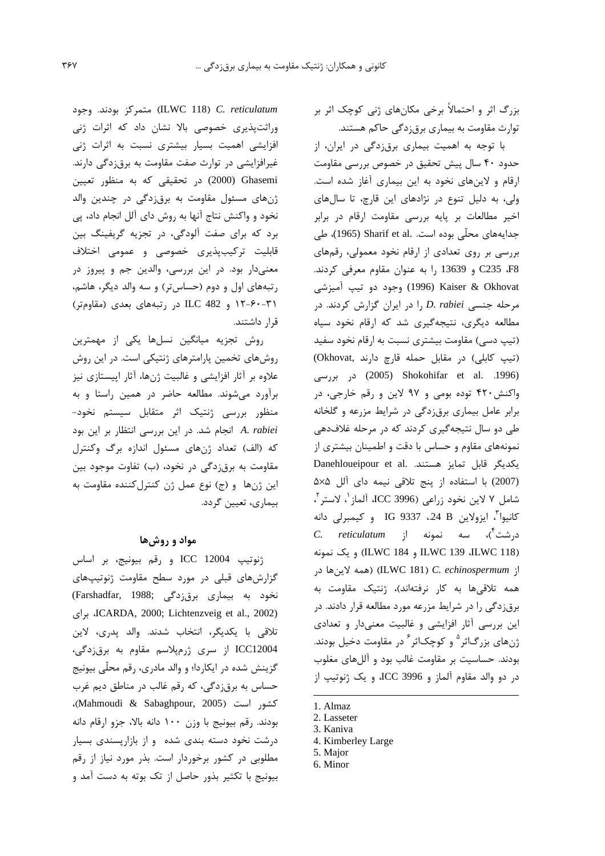بزرگ اثر و احتمالاً برخی مکانهای ژنی کوچک اثر بر توارث مقاومت به بیماری برق;دگی حاکم هستند.

با توجه به اهمیت بیماری برق زدگی در ایران، از حدود ۴۰ سال پیش تحقیق در خصوص بررسی مقاومت ارقام و لاینهای نخود به این بیماری آغاز شده است. ولی، به دلیل تنوع در نژادهای این قارچ، تا سالهای اخیر مطالعات بر پایه بررسی مقاومت ارقام در برابر جدایههای محلّی بوده است. Sharif et al. طی بررسی بر روی تعدادی از ارقام نخود معمولی، رقمهای G235 .F8 و 13639 را به عنوان مقاوم معرفی کردند. Pepe (1996) Kaiser & Okhovat ) وجود دو تيپ آميزشي مرحله جنسی D. rabiei را در ایران گزارش کردند. در مطالعه دیگری، نتیجهگیری شد که ارقام نخود سیاه (تیپ دسی) مقاومت بیشتری نسبت به ارقام نخود سفید (تیپ کابلی) در مقابل حمله قارچ دارند ,Okhovat) (2005) Shokohifar et al. .1996) در بورسی واکنش ۴۲۰ توده بومی و ۹۷ لاین و رقم خارجی، در برابر عامل بیماری برقزدگی در شرایط مزرعه و گلخانه طی دو سال نتیجهگیری کردند که در مرحله غلافدهی نمونههای مقاوم و حساس با دقت و اطمینان بیشتری از Danehloueipour et al. مستند. Danehloueipour et al. (2007) با استفاده از ينج تلاقى نيمه داى آلل ۵×۵ شامل ٧ لاين نخود زراعي (ICC 3996 آلماز '، لاستر '، كانيوا<sup>"</sup>، ايزولاين IG 9337 ،24 و كيمبرلي دانه درشت<sup>۲</sup>)، سه نمونه از *C. reticulatum* (ILWC 184 و ILWC 184) و (ILWC 184) و يك نمونه از ILWC 181) C. echinospermum) (همه لاينها در همه تلاقیها به کار نرفتهاند)، ژنتیک مقاومت به برق;زدگی را در شرایط مزرعه مورد مطالعه قرار دادند. در این بررسی آثار افزایشی و غالبیت معنیدار و تعدادی ِژنهای بزرگاثر<sup>۵</sup> و کوچکاثر<sup>۶</sup> در مقاومت دخیل بودند. بودند. حساسیت بر مقاومت غالب بود و آللهای مغلوب در دو والد مقاوم آلماز و ICC 3996، و یک ژنوتیپ از

- 3. Kaniva
- 4. Kimberley Large 5. Major
- 6. Minor

که (الف) تعداد ژنهای مسئول اندازه برگ وکنترل مقاومت به برق;دگی در نخود، (ب) تفاوت موجود بین

قرار داشتند.

اين ژنها و (ج) نوع عمل ژن كنترل كننده مقاومت به بیماری، تعیین گردد.

## مواد و روش ها

ILWC 118) C. reticulatum) متمركز بودند. وجود وراثتپذیری خصوصی بالا نشان داد که اثرات ژنی

افزایشی اهمیت بسیار بیشتری نسبت به اثرات ژنی

غیرافزایشی در توارث صفت مقاومت به برقزدگی دارند.

Chasemi (2000) در تحقیقی که به منظور تعیین

ژنهای مسئول مقاومت به برقزدگی در چندین والد نخود و واكنش نتاج آنها به روش داي آلل انجام داد، پي

برد که برای صفت آلودگی، در تجزیه گریفینگ بین

قابلیت ترکیبپذیری خصوصی و عمومی اختلاف

معنیدار بود. در این بررسی، والدین جم و پیروز در

رتبههای اول و دوم (حساس تر) و سه والد دیگر، هاشم،

۲۱-۶۰-۱۲ و ILC 482 در رتبههای بعدی (مقاومتر)

روش تجزیه میانگین نسلها یکی از مهمترین

روشهای تخمین پارامترهای ژنتیکی است. در این روش

علاوه بر آثار افزایشی و غالبیت ژنها، آثار اپیستازی نیز

برآورد می شوند. مطالعه حاضر در همین راستا و به

منظور بررسی ژنتیک اثر متقابل سیستم نخود-

A. rabiei انجام شد. در این بررسی انتظار بر این بود

ژنوتيپ ICC 12004 و رقم بيونيج، بر اساس گزارش های قبلی در مورد سطح مقاومت ژنوتیپهای نخود به بیماری برق;دگی ;Farshadfar, 1988) ICARDA, 2000; Lichtenzveig et al., 2002)، برای تلاقی با یکدیگر، انتخاب شدند. والد یدری، لاین ICC12004 از سری ژرمیلاسم مقاوم به برق;دگی، گزینش شده در ایکاردا؛ و والد مادری، رقم محلّی بیونیج حساس به برقزدگی، که رقم غالب در مناطق دیم غرب كشور است (Mahmoudi & Sabaghpour, 2005)، بودند. رقم بيونيج با وزن ١٠٠ دانه بالا، جزو ارقام دانه درشت نخود دسته بندی شده و از بازاریسندی بسیار مطلوبی در کشور برخوردار است. بذر مورد نیاز از رقم بیونیج با تکثیر بذور حاصل از تک بوته به دست آمد و

<sup>1.</sup> Almaz

<sup>2.</sup> Lasseter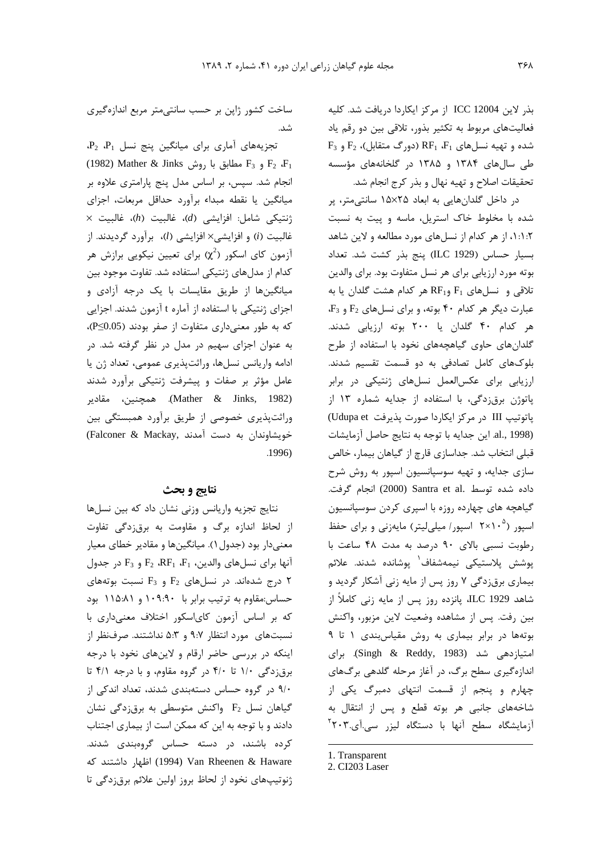بذر لاين ICC 12004 از مركز ايكاردا دريافت شد. كليه فعالیتهای مربوط به تکثیر بذور، تلاقی بین دو رقم یاد  $F_3$  شده و تهیه نسلهای  $F_1$ ،  $F_1$  (دورگ متقابل)،  $F_2$  و  $F_3$ طی سالهای ۱۳۸۴ و ۱۳۸۵ در گلخانههای مؤسسه تحقيقات اصلاح و تهيه نهال و بذر كرج انجام شد.

در داخل گلدانهایی به ابعاد ۱۵×۱۵ سانتی متر، پر شده با مخلوط خاک استریل، ماسه و پیت به نسبت ۰۱:۱:۲ از هر کدام از نسلهای مورد مطالعه و لاین شاهد بسيار حساس (1929 ILC) پنج بذر كشت شد. تعداد بوته مورد ارزيابي براي هر نسل متفاوت بود. براي والدين  $F_1$  تلاقی و نسلهای  $F_1$  و $RF_{11}$  هر کدام هشت گلدان یا به 4- عبارت دیگر هر کدام ۴۰ بوته، و برای نسل های F2 و هر کدام ۴۰ گلدان یا ۲۰۰ بوته ارزیابی شدند. گلدانهای حاوی گیاهچههای نخود با استفاده از طرح بلوکهای کامل تصادفی به دو قسمت تقسیم شدند. ارزیابی برای عکسالعمل نسلهای ژنتیکی در برابر یاتوژن برق;دگی، با استفاده از جدایه شماره ۱۳ از پاتوتيپ III در مركز ايكاردا صورت پذيرفت Udupa et) al., 1998). این جدایه با توجه به نتایج حاصل آزمایشات قبلي انتخاب شد. جداسازي قارچ از گياهان بيمار، خالص سازی جدایه، و تهیه سوسپانسیون اسپور به روش شرح داده شده توسط .Santra et al (2000) انجام گرفت. گیاهچه های چهارده روزه با اسپری کردن سوسپانسیون اسیور (°۲×۲۰ اسیور/میلی لیتر) مایهزنی و برای حفظ رطوبت نسبى بالاى ٩٠ درصد به مدت ۴٨ ساعت با يوشش يلاستيكي نيمەشفاف<sup>1</sup> يوشاندە شدند. علائم بیماری برقزدگی ۷ روز پس از مایه زنی آشکار گردید و شاهد ILC 1929، پانزده روز پس از مایه زنی کاملاً از بين رفت. يس از مشاهده وضعيت لاين مزبور، واكنش بوتهها در برابر بیماری به روش مقیاس بندی ١ تا ٩ امتیازدهی شد (Singh & Reddy, 1983). برای اندازهگیری سطح برگ، در آغاز مرحله گلدهی برگهای چهارم و پنجم از قسمت انتهای دمبرگ یکی از شاخههای جانبی هر بوته قطع و پس از انتقال به آزمایشگاه سطح آنها با دستگاه لیزر سی.آی.۲۰۳<sup>۲</sup>

1. Transparent

ساخت کشور ژاپن بر حسب سانتی متر مربع اندازهگیری شد.

 $P_2$  تجزیههای آماری برای میانگین پنج نسل  $P_1$ ،  $P_2$ (1982) Mather & Jinks و F<sub>3</sub> مطابق با روش F<sub>3</sub> و F<sub>2</sub> انجام شد. سپس، بر اساس مدل پنج پارامتری علاوه بر میانگین یا نقطه مبداء برآورد حداقل مربعات، اجزای  $\times$  (نتيكى شامل: افزايشى (d)، غالبيت (h)، غالبيت غالبيت (i) و افزايشي× افزايشي (l)، برآورد گرديدند. از آزمون کای اسکور ( $\chi^2$ ) برای تعیین نیکویی برازش هر كدام از مدل های ژنتیكی استفاده شد. تفاوت موجود بین میانگینها از طریق مقایسات با یک درجه آزادی و اجزای ژنتیکی با استفاده از آماره t آزمون شدند. اجزایی که به طور معنیداری متفاوت از صفر بودند (P≤0.05)، به عنوان اجزای سهیم در مدل در نظر گرفته شد. در ادامه واریانس نسلها، وراثتپذیری عمومی، تعداد ژن یا عامل مؤثر بر صفات و پیشرفت ژنتیکی برآورد شدند (Mather & Jinks, 1982). همچنین، مقادیر وراثتپذیری خصوصی از طریق برآورد همبستگی بین خویشاوندان به دست آمدند .Falconer & Mackay)  $.1996)$ 

#### نتايج و بحث

نتایج تجزیه واریانس وزنی نشان داد که بین نسلها از لحاظ اندازه برگ و مقاومت به برقزدگی تفاوت معنیدار بود (جدول ۱). میانگینها و مقادیر خطای معیار  $F_1$ ، آنها برای نسلهای والدین،  $F_1$ ،  $F_2$ ،  $F_2$  و  $F_3$  در جدول درج شدهاند. در نسلهای  $F_2$  و  $F_3$  نسبت بوتههای ۲ حساس:مقاوم به ترتیب برابر با ۱۰۹:۹۰ و ۱۱۵:۸۱ بود که بر اساس آزمون کایاسکور اختلاف معنیداری با نسبتهای مورد انتظار ۹:۷ و ۵:۳ نداشتند. صرفنظر از اینکه در بررسی حاضر ارقام و لاینهای نخود با درجه برقزدگی ۱/۰ تا ۴/۰ در گروه مقاوم، و با درجه ۴/۱ تا ۹/۰ در گروه حساس دستهبندی شدند، تعداد اندکی از  $F_2$  میاهان نسل  $F_2$  واکنش متوسطی به برق زدگی نشان دادند و با توجه به این که ممکن است از بیماری اجتناب کرده باشند، در دسته حساس گروهبندی شدند. Uan Rheenen & Haware (1994) اظهار داشتند که ژنوتیپهای نخود از لحاظ بروز اولین علائم برقزدگی تا

<sup>2.</sup> CI203 Laser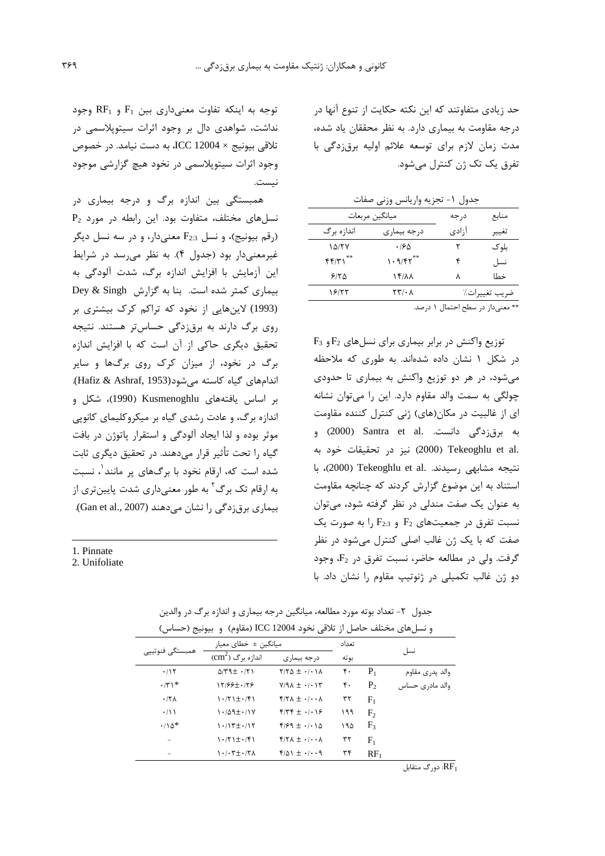حد زیادی متفاوتند که این نکته حکایت از تنوع آنها در درجه مقاومت به بیماری دارد. به نظر محققان یاد شده، مدت زمان لازم برای توسعه علائم اولیه برق زدگی با تفرق یک تک ژن کنترل مے شود.

|  | دول ۱- تجزیه واریانس وزنی صفات |  |  |
|--|--------------------------------|--|--|
|  |                                |  |  |

| ميانگين مربعات |              | د, جه | منابع         |
|----------------|--------------|-------|---------------|
| اندازه بر گ    | درجه بيماري  | ا;ادی | تغيير         |
| ۱۵/۲۷          | ۱۶۵          | ۲     | بلو ک         |
| FF/YY          | 1.9/F1       | ۴     | نسل           |
| 9180           | <b>14/11</b> | ٨     | خطا           |
| ۱۶۱۲۲          | ۲۳/۰۸        |       | ضريب تغييرات٪ |
|                |              |       | $-1.1$        |

\*\* معنى دار در سطح احتمال ١ درصد.

 $F_3$  توزیع واکنش در برابر بیماری برای نسلهای  $F_2$ و در شکل ۱ نشان داده شدهاند. به طوری که ملاحظه می شود، در هر دو توزیع واکنش به بیماری تا حدودی چولگی به سمت والد مقاوم دارد. این را می توان نشانه ای از غالبیت در مکان(های) ژنی کنترل کننده مقاومت به برقزدگی دانست. Santra et al. (2000) و .2000) Tekeoghlu et al (2000) نيز در تحقيقات خود به نتيجه مشابهي رسيدند. Tekeoghlu et al. با استناد به این موضوع گزارش کردند که چنانچه مقاومت به عنوان یک صفت مندلی در نظر گرفته شود، می توان  $F_{2:3}$  نسبت تفرق در جمعیتهای  $F_2$  و  $F_{2:3}$  را به صورت یک صفت که با یک ژن غالب اصلی کنترل میشود در نظر  $F_2$  كرفت. ولي در مطالعه حاضر، نسبت تفرق در  $F_2$ ، وجود دو ژن غالب تکمیلی در ژنوتیپ مقاوم را نشان داد. با

 $R_{1}$  توجه به اینکه تفاوت معنی داری بین  $F_{1}$  و  $R_{2}$  وجود نداشت، شواهدی دال بر وجود اثرات سیتوپلاسمی در تلاقی بیونیج × ICC 12004، به دست نیامد. در خصوص وجود اثرات سیتوپلاسمی در نخود هیچ گزارشی موجود نىست.

همبستگی بین اندازه برگ و درجه بیماری در  $P_2$  نسل های مختلف، متفاوت بود. این رابطه در مورد (رقم بیونیج)، و نسل  $F_{2:3}$  معنیدار، و در سه نسل دیگر غیرمعنیدار بود (جدول ۴). به نظر می رسد در شرایط این آزمایش با افزایش اندازه برگ، شدت آلودگی به بیماری کمتر شده است. بنا به گزارش Dey & Singh (1993) لاینهایی از نخود که تراکم کرک بیشتری بر روی برگ دارند به برقزدگی حساس تر هستند. نتیجه تحقیق دیگری حاکی از آن است که با افزایش اندازه برگ در نخود، از میزان کرک روی برگ@ا و سایر اندامهای گیاه کاسته می شود(Hafiz & Ashraf, 1953). بر اساس یافتههای Kusmenoghlu (1990)، شکل و اندازه برگ، و عادت رشدی گیاه بر میکروکلیمای کانویی موثر بوده و لذا ایجاد آلودگی و استقرار یاتوژن در بافت گیاه را تحت تأثیر قرار میدهند. در تحقیق دیگری ثابت شده است که، ارقام نخود با برگهای پر مانند<sup>۱</sup>، نسبت به ارقام تک برگ<sup>۲</sup> به طور معنیداری شدت پایینتری از بیماری برق;دگی را نشان میدهند (Gan et al., 2007).

1. Pinnate

2. Unifoliate

|                 | و تشریعی مختلف حاصل از انگریزی تاسوت ۱۵۵۵۰ تایید و به انگلیزی از جستانس |                                                                  |                                             |     |                |                 |
|-----------------|-------------------------------------------------------------------------|------------------------------------------------------------------|---------------------------------------------|-----|----------------|-----------------|
| همبستگى فنوتيپى | میانگین ±  خطای معیا <sub>د</sub>                                       |                                                                  | تعداد                                       |     |                |                 |
|                 | $\text{(cm}^2)$ اندازه برگ                                              | درجه بیماری                                                      | بو ته                                       |     | نسل            |                 |
|                 | .115                                                                    | $\Delta$ /۳۹ $\pm$ $\cdot$ /۲۱                                   | $Y/Y\Delta \pm \cdot / \cdot \cdot \wedge$  | ۴۰  | $P_1$          | والد پدري مقاوم |
|                 | $\cdot$ /۳۱*                                                            | 17/88±0.178                                                      | $Y/9\Lambda \pm \cdot / \cdot 1\tilde{r}$   | ۴٠  | P <sub>2</sub> | والد مادری حساس |
|                 | $.77\lambda$                                                            | $\cdot$ /۲۱ $\pm$ $\cdot$ /۴۱                                    | $f/Y\Lambda \pm \cdot$ / $\cdot \Lambda$    | ٣٢  | $F_1$          |                 |
|                 | $\cdot/11$                                                              | $1.429 \pm .114$                                                 | $f/\gamma f \pm 1.19$                       | ۱۹۹ | F,             |                 |
|                 | $\cdot$ /10 <sup>*</sup>                                                | $\cdot$ / $\uparrow$ $\pm$ $\cdot$ / $\uparrow$                  | $9/99 \pm 1/10$                             | ۱۹۵ | $F_3$          |                 |
|                 |                                                                         | $\cdot$ / $\uparrow$ ) $\pm$ $\cdot$ / $\uparrow$ )              | $f/Y\Lambda \pm \cdot$ / $\cdot \Lambda$    | ٣٢  | $\rm F_{1}$    |                 |
|                 |                                                                         | $\cdot$ / $\cdot$ $\uparrow$ $\pm$ $\cdot$ / $\uparrow$ $\wedge$ | $f/\Delta$ $\pm$ $\cdot$ / $\cdot$ $\theta$ | ٣۴  | $RF_1$         |                 |
|                 |                                                                         |                                                                  |                                             |     |                |                 |

جدول ۲- تعداد بوته مورد مطالعه، میانگین درجه بیماری و اندازه برگ در والدین و نسا هاي مختلف حاصل إن تلاقي نخود ICC 12004 (مقاوم) و بيونيچ (حساس)

دورگ متقابل  $\overline{\text{RF}}_1$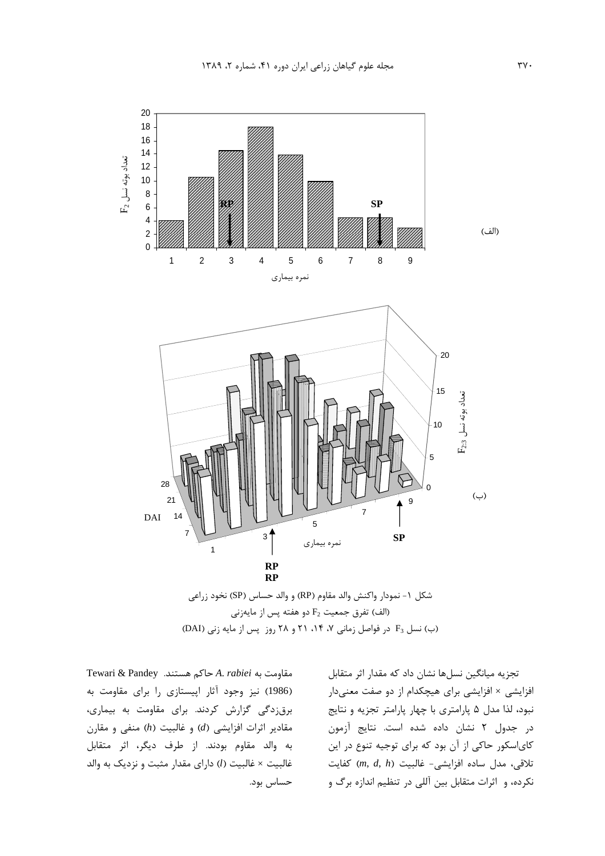

الف) تفرق جمعيت F2 دو هفته پس از مايهزنى) (ب) نسل F3 در فواصل زمانی V، ۱۴، ۲۱ و ۲۸ روز پس از مایه زنی (DAI)

شکل ۱- نمودار واکنش والد مقاوم (RP) و الد حساس (SP) نخود زراعی<br>) نسل F<sub>3</sub> در فواصل زمانی ۲، ۲۹، ۲۱ و ۲۸ روز پس از مایه زنی (DAI)<br>) نسل F<sub>3</sub> در فواصل زمانی ۲، ۲۰ و ۲۸ روز پس از مایه زنی (DAI)<br>چکدام از دو صفت معنیدار<br>چکدام Tewari & Pandey .مقاومت به A. rabiei حاكم هستند. مقاومت به A. *rabiei* ماكم هستند.<br>(1986) نيز وجود آثار اپيستازى<br>برق<sub>ا</sub>زدگى گزارش كردند. براى ,<br>مقادير اثرات افزايشى (d) و غالبيت<br>غالبيت × غالبيت (l) داراى مقدار م<br>حساس بود.<br>حساس بود. و- محر پيستوری رمبری معاومت<br>نی کردند. برای مقاومت به بیماری،<br>ایشی (d) و غالبیت (h) منفی و مقارن<br>بودند. از طرف دیگر، اثر متقابل<br>(l) دارای مقدار مثبت و نزدیک به والد (1986)<br>برقزدگی<br>مقادیر اثر<br>غالبیت ×<br>حساس بر بری ( ـ ـ . ـ . ـ . ـ .<br>4) و غالبیت (h) منفی و مقارن<br>از طرف دیگر، اثر متقابل<br>ای مقدار مثبت و نزدیک به والد .رن( ی<br>مقادیر اثرات افزایشی (*ا*<br>به والد مقاوم بودند.<br>غالبیت × غالبیت (*ا*) دار<br>غالبیت × غالبیت (*ا*) دار مقادیر اثرات افزایشی (*d*) و غالبیت (*h*) منفی و مقارن<br>به والد مقاوم بودند. از طرف دیگر، اثر متقابل<br>غالبیت × غالبیت (/) دارای مقدار مثبت و نزدیک به والد<br>حساس بود.<br> U+bD -}0 !-, Y-] /0 . .<br>غالبيت × غالبيت (<br>حساس بود.<br>حساس بود. غالبیت × غالبیت (*l*) دارای مقدار مثبت و<br>حساس بود.<br>-

تجزیه میانگین نسلها نشان داد که مقدار اثر متقابل --بر-------<br>شى × افز<br>، لذا مدل<br>جدول ۲<br>سە مدل ، حریسی کسوریسی برای کلیپادیا از دو ساده کلیهای بنایج است است و نتایج<br>نبود، لذا مدل ۵ پارامتری با چهار پارامتر تجزیه و نتایج<br>کای سکور حاکی از آن بود که برای توجیه تنوع در این<br>کای سکور حاکی از آن بود که برای توجیه تنوع در ای & 6 KZ -D0B2 B8n + 7-D0B2 I 0e3 !-نبود، لذا مدل ۵ پارامتری با چهار پارامتر تجزیه و نتایج در جدول ٢ نشان داده شده است. نتايج آزمون در ---ون<br>کای|سکور حا′<br>تلاقی، مدل ہ<br>نکردہ، و اثرات ر<br>سي- غالبيت<br>ين آللي در تن رر د ای را بال<br>مدل ساده افزایش<br>و اثرات متقابل با ى<br>تلاقى، ،<br>نكرده، و تلاقی، مدل ساده افزایشی- غالبیت (*m, d, h)* کفایت<br>نکرده، و اثرات متقابل بین آللی در تنظیم اندازه برگ و<br>نکرده، و اثرات متقابل بین آللی در تنظیم اندازه برگ و  $\frac{1}{2}$   $\frac{1}{2}$   $\frac{1}{2}$   $\frac{1}{2}$   $\frac{1}{2}$   $\frac{1}{2}$   $\frac{1}{2}$   $\frac{1}{2}$   $\frac{1}{2}$   $\frac{1}{2}$   $\frac{1}{2}$   $\frac{1}{2}$   $\frac{1}{2}$   $\frac{1}{2}$   $\frac{1}{2}$   $\frac{1}{2}$   $\frac{1}{2}$   $\frac{1}{2}$   $\frac{1}{2}$   $\frac{1}{2}$   $\frac{1}{2}$   $\frac{1}{2}$  نکرده، و اثرات متقابل بین آللی در تنظیم اندازه برگ و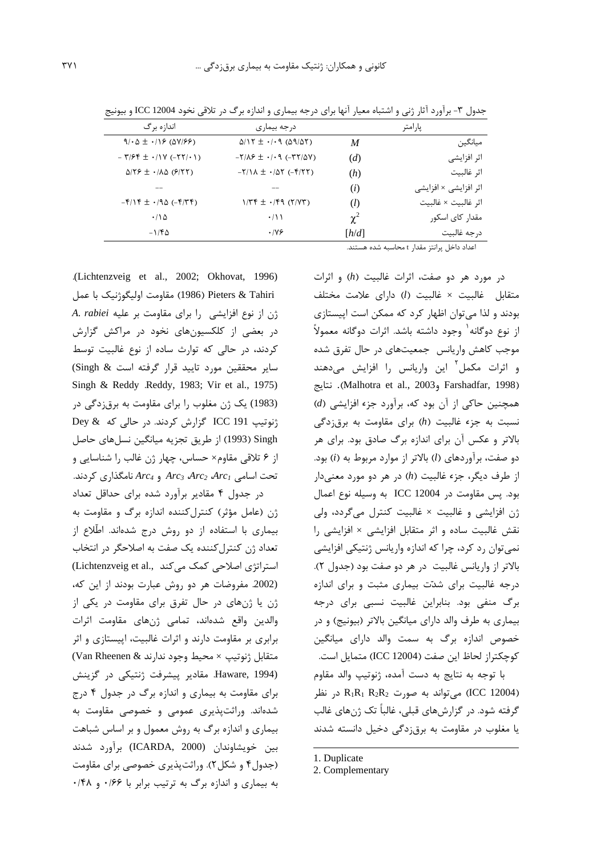| اندازه برگ                                   | درجه بیماری                                    |          | يارامتر               |
|----------------------------------------------|------------------------------------------------|----------|-----------------------|
| $9/0.6 \pm 1/19$ ( $\Delta V/99$ )           | $\Delta/17 \pm 1.09$ ( $\Delta$ 9/ $\Delta$ Y) | M        | ميانگين               |
| $-7/5$ $\pm$ $\cdot$ / $\sqrt{(0.55/10)}$    | $-Y/\Lambda P \pm -1.9$ ( $-YY/\Delta V$ )     | (d)      | اثر افزایشی           |
| $\Delta$ /۲۶ $\pm$ $\cdot$ / $\Delta$ (۶/۲۲) | $-Y/N \pm -1/\Delta Y (-Y/YY)$                 | (h)      | اثر غالبيت            |
|                                              |                                                | (i)      | اثر افزایشی × افزایشی |
| $-F/19 \pm 190 (-979)$                       | $1/75 \pm ./59$ ( $7/77$ )                     | $\Omega$ | اثر غالبيت × غالبيت   |
| $\cdot$ / \ $\Delta$                         | $\cdot/11$                                     | $\chi^2$ | مقدار کای اسکور       |
| $-1/\mathfrak{F}\Delta$                      | .199                                           | [h/d]    | د, جه غالبیت          |

جدول ۳- برآورد آثار ژنی و اشتباه معیار آنها برای درجه بیماری و اندازه برگ در تلاقی نخود ICC 12004 و بیونیج

اعداد داخل پرانتز مقدار t محاسبه شده هستند.

.(Lichtenzveig et al., 2002; Okhovat, 1996) Pieters & Tahiri (1986) مقاومت اوليگوژنيک با عمل A. rabiei ثن از نوع افزایشی را برای مقاومت بر علیه در بعضی از کلکسیونهای نخود در مراکش گزارش کردند، در حالی که توارث ساده از نوع غالبیت توسط سایر محققین مورد تایید قرار گرفته است & Singh) Singh & Reddy .Reddy, 1983; Vir et al., 1975) (1983) یک ژن مغلوب را برای مقاومت به برق;دگی در ژنوتیپ ICC 191 گزارش کردند. در حالی که Dey & Singh (1993) از طريق تجزيه ميانگين نسلهاي حاصل از ۶ تلاقی مقاوم× حساس، چهار ژن غالب را شناسایی و تحت اسامی Arc3 Arc3 Arc2 Arc1 و Arc4 نامگذاری کردند. در جدول ۴ مقادیر برآورد شده برای حداقل تعداد ژن (عامل مؤثر) کنترل کننده اندازه برگ و مقاومت به بیماری با استفاده از دو روش درج شدهاند. اطّلاع از تعداد ژن کنترل کننده یک صفت به اصلاحگر در انتخاب استراتژی اصلاحی کمک می کند .(Lichtenzveig et al (2002. مفروضات هر دو روش عبارت بودند از این که، ژن یا ژنهای در حال تفرق برای مقاومت در یکی از والدين واقع شدهاند، تمامى ژنهاى مقاومت اثرات برابری بر مقاومت دارند و اثرات غالبیت، اپیستازی و اثر متقابل ژنوتيپ × محيط وجود ندارند & Van Rheenen) Haware, 1994). مقادیر پیشرفت ژنتیکی در گزینش برای مقاومت به بیماری و اندازه برگ در جدول ۴ درج شدهاند. وراثتپذیری عمومی و خصوصی مقاومت به بیماری و اندازه برگ به روش معمول و بر اساس شباهت بين خويشاوندان (ICARDA, 2000) برآورد شدند (جدول۴ و شکل۲). وراثتپذیری خصوصی برای مقاومت به بیماری و اندازه برگ به ترتیب برابر با ۰/۶۶ و ۰/۴۸

در مورد هر دو صفت، اثرات غالبيت (h) و اثرات متقابل غالبيت × غالبيت (l) داراي علامت مختلف بودند و لذا میتوان اظهار کرد که ممکن است اپیستازی از نوع دوگانه<sup>۱</sup> وجود داشته باشد. اثرات دوگانه معمولاً موجب کاهش واریانس جمعیتهای در حال تفرق شده و اثرات مکمل<sup>۲</sup> این واریانس را افزایش میدهند نتايج (Malhotra et al., 2003 وMalhotra et al., 2003). نتايج همچنین حاکی از آن بود که، برآورد جزء افزایشی (d) نسبت به جزء غالبیت (h) برای مقاومت به برقزدگی بالاتر و عکس آن برای اندازه برگ صادق بود. برای هر دو صفت، برآوردهای (I) بالاتر از موارد مربوط به (i) بود. از طرف دیگر، جزء غالبیت (h) در هر دو مورد معنیدار بود. پس مقاومت در ICC 12004 به وسیله نوع اعمال ژن افزایشی و غالبیت × غالبیت کنترل میگردد، ولی نقش غالبیت ساده و اثر متقابل افزایشی × افزایشی را نمی توان رد کرد، چرا که اندازه واریانس ژنتیکی افزایشی بالاتر از واریانس غالبیت در هر دو صفت بود (جدول ۲). درجه غالبیت برای شدّت بیماری مثبت و برای اندازه برگ منفی بود. بنابراین غالبیت نسبی برای درجه بیماری به طرف والد دارای میانگین بالاتر (بیونیج) و در خصوص اندازه برگ به سمت والد دارای میانگین كوچكتراز لحاظ اين صفت (ICC 12004) متمايل است. با توجه به نتايج به دست آمده، ژنوتيپ والد مقاوم در نظر (ICC 12004) می تواند به صورت R<sub>1</sub>R<sub>1</sub> R<sub>2</sub>R<sub>2</sub> در نظر گرفته شود. در گزارشهای قبلی، غالباً تک ژنهای غالب یا مغلوب در مقاومت به برق;دگی دخیل دانسته شدند

<sup>1.</sup> Duplicate

<sup>2.</sup> Complementary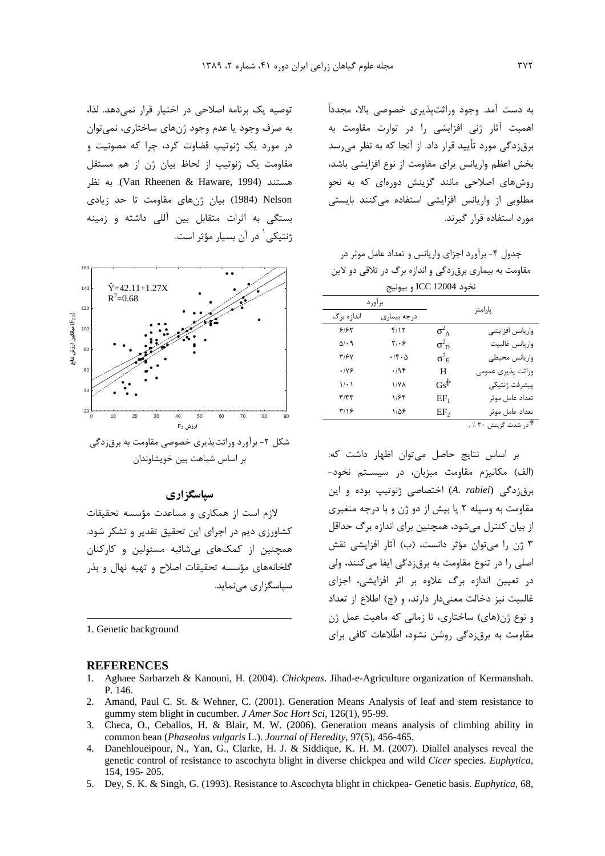به دست آمد. وجود وراثت پذیری خصوصی بالا، مجدداً اهمیت آثار ژنی افزایشی را در توارث مقاومت به برق;دگی مورد تأیید قرار داد. از آنجا که به نظر می سد بخش اعظم واریانس برای مقاومت از نوع افزایشی باشد، روش های اصلاحی مانند گزینش دورهای که به نحو مطلوبی از واریانس افزایشی استفاده میکنند بایستی مورد استفاده قرار گیرند.

حدول ۴- برآورد اجزای واریانس و تعداد عامل موثر در مقاومت به بیماری برق;دگی و اندازه برگ در تلاقی دو لاین نخود ICC 12004 و بيونيج

|                            | برآورد                       |                    |                                  |  |
|----------------------------|------------------------------|--------------------|----------------------------------|--|
| درجه بیماری<br>اندازه بر گ |                              |                    | پارامتر                          |  |
| ۶۱۶۲                       | ۴/۱۲                         | $\sigma_A^2$       | واريانس افزايشى                  |  |
| $\Delta$ / $\cdot$ 9       | $\mathbf{Y}/\cdot\mathbf{P}$ | $\sigma_{\rm D}^2$ | واريانس غالبيت                   |  |
| ٣/۶٧                       | $\cdot$ /۴ $\cdot$ ۵         | $\sigma^2_{\rm E}$ | واريانس محيطى                    |  |
| .199                       | .795                         | H                  | وراثت پذیری عمومی                |  |
| 1/2                        | <b>\/YA</b>                  | $Gs^{\#}$          | پيشرفت ژنتيكي                    |  |
| ۳/۳۳                       | ۱۱۶۴                         | $EF_1$             | تعداد عامل موثر                  |  |
| ۳/۱۶                       | ۱۱۵۶                         | EF <sub>2</sub>    | تعداد عامل موثر                  |  |
|                            |                              |                    | <sup>†</sup> در شدت گزینش ۳۰ ٪ . |  |

بر اساس نتايج حاصل مى توان اظهار داشت كه: (الف) مكانيزم مقاومت ميزبان، در سيستم نخود-برقزدگی (A. rabiei) اختصاصی ژنوتیپ بوده و این مقاومت به وسیله ۲ یا بیش از دو ژن و با درجه متغیری از بیان کنترل می شود، همچنین برای اندازه برگ حداقل ۳ ژن را می توان مؤثر دانست، (ب) آثار افزایشی نقش اصلی را در تنوع مقاومت به برقزدگی ایفا میکنند، ولی در تعیین اندازه برگ علاوه بر اثر افزایشی، اجزای غالبيت نيز دخالت معنى دار دارند، و (ج) اطلاع از تعداد و نوع ژن(های) ساختاری، تا زمانی که ماهیت عمل ژن مقاومت به برق;دگی روشن نشود، اطّلاعات کافی برای

توصيه يک برنامه اصلاحي در اختيار قرار نمي دهد. لذا، به صرف وجود يا عدم وجود ژنهای ساختاری، نمی توان در مورد یک ژنوتیپ قضاوت کرد، چرا که مصونیت و مقاومت یک ژنوتیپ از لحاظ بیان ژن از هم مستقل هستند (Van Rheenen & Haware, 1994). به نظر Nelson (1984) بيان ژنهاي مقاومت تا حد زيادي بستگی به اثرات متقابل بین آللی داشته و زمینه ژنتیکی ` در آن بسیار مؤثر است.



## سیاسگز اری

لازم است از همکاری و مساعدت مؤسسه تحقیقات کشاورزی دیم در اجرای این تحقیق تقدیر و تشکر شود. همچنین از کمکهای بیشائبه مسئولین و کارکنان گلخانههای مؤسسه تحقیقات اصلاح و تهیه نهال و بذر سیاسگزاری مے نماید.

1. Genetic background

#### **REFERENCES**

- 1. Aghaee Sarbarzeh & Kanouni, H. (2004). Chickpeas. Jihad-e-Agriculture organization of Kermanshah. P. 146.
- 2. Amand, Paul C. St. & Wehner, C. (2001). Generation Means Analysis of leaf and stem resistance to gummy stem blight in cucumber. J Amer Soc Hort Sci, 126(1), 95-99.
- 3. Checa, O., Ceballos, H. & Blair, M. W. (2006). Generation means analysis of climbing ability in common bean (Phaseolus vulgaris L.). Journal of Heredity, 97(5), 456-465.
- 4. Danehloueipour, N., Yan, G., Clarke, H. J. & Siddique, K. H. M. (2007). Diallel analyses reveal the genetic control of resistance to ascochyta blight in diverse chickpea and wild Cicer species. Euphytica, 154, 195 - 205.
- 5. Dey, S. K. & Singh, G. (1993). Resistance to Ascochyta blight in chickpea-Genetic basis. *Euphytica*, 68,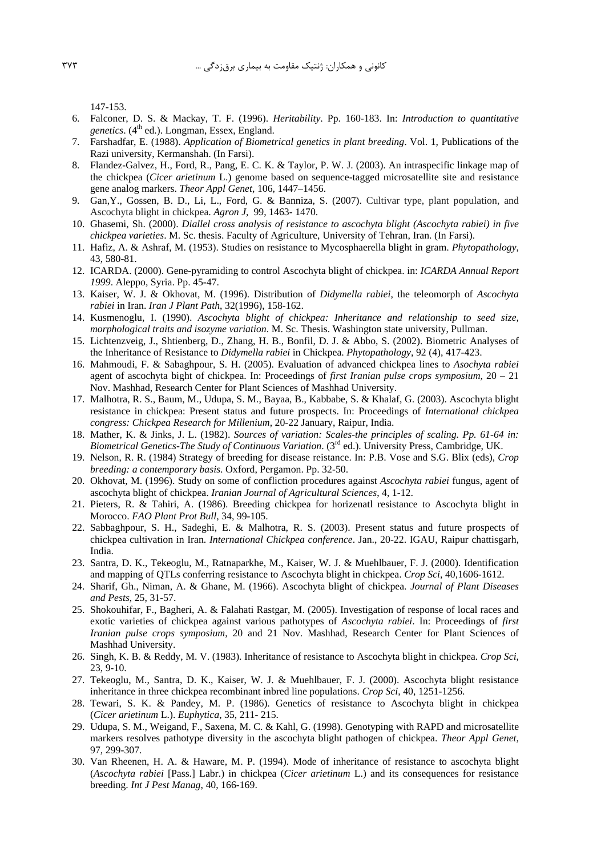147-153.

- 6. Falconer, D. S. & Mackay, T. F. (1996). Heritability. Pp. 160-183. In: Introduction to quantitative genetics. (4<sup>th</sup> ed.). Longman, Essex, England.
- 7. Farshadfar, E. (1988). Application of Biometrical genetics in plant breeding. Vol. 1, Publications of the Razi university, Kermanshah. (In Farsi).
- 8. Flandez-Galvez, H., Ford, R., Pang, E. C. K. & Taylor, P. W. J. (2003). An intraspecific linkage map of the chickpea (Cicer arietinum L.) genome based on sequence-tagged microsatellite site and resistance gene analog markers. Theor Appl Genet, 106, 1447-1456.
- 9. Gan, Y., Gossen, B. D., Li, L., Ford, G. & Banniza, S. (2007). Cultivar type, plant population, and Ascochyta blight in chickpea. Agron J, 99, 1463-1470.
- 10. Ghasemi, Sh. (2000). Diallel cross analysis of resistance to ascochyta blight (Ascochyta rabiei) in five chickpea varieties. M. Sc. thesis. Faculty of Agriculture, University of Tehran, Iran. (In Farsi).
- 11. Hafiz, A. & Ashraf, M. (1953). Studies on resistance to Mycosphaerella blight in gram. Phytopathology, 43, 580-81.
- 12. ICARDA. (2000). Gene-pyramiding to control Ascochyta blight of chickpea. in: ICARDA Annual Report 1999. Aleppo, Syria. Pp. 45-47.
- 13. Kaiser, W. J. & Okhovat, M. (1996). Distribution of Didymella rabiei, the teleomorph of Ascochyta rabiei in Iran. Iran J Plant Path, 32(1996), 158-162.
- 14. Kusmenoglu, I. (1990). Ascochyta blight of chickpea: Inheritance and relationship to seed size, morphological traits and isozyme variation. M. Sc. Thesis. Washington state university, Pullman.
- 15. Lichtenzveig, J., Shtienberg, D., Zhang, H. B., Bonfil, D. J. & Abbo, S. (2002). Biometric Analyses of the Inheritance of Resistance to Didymella rabiei in Chickpea. Phytopathology, 92 (4), 417-423.
- 16. Mahmoudi, F. & Sabaghpour, S. H. (2005). Evaluation of advanced chickpea lines to Asochyta rabiei agent of ascochyta bight of chickpea. In: Proceedings of *first Iranian pulse crops symposium*,  $20 - 21$ Nov. Mashhad, Research Center for Plant Sciences of Mashhad University.
- 17. Malhotra, R. S., Baum, M., Udupa, S. M., Bayaa, B., Kabbabe, S. & Khalaf, G. (2003). Ascochyta blight resistance in chickpea: Present status and future prospects. In: Proceedings of International chickpea congress: Chickpea Research for Millenium, 20-22 January, Raipur, India.
- 18. Mather, K. & Jinks, J. L. (1982). Sources of variation: Scales-the principles of scaling. Pp. 61-64 in: Biometrical Genetics-The Study of Continuous Variation. (3rd ed.). University Press, Cambridge, UK.
- 19. Nelson, R. R. (1984) Strategy of breeding for disease reistance. In: P.B. Vose and S.G. Blix (eds), Crop breeding: a contemporary basis. Oxford, Pergamon. Pp. 32-50.
- 20. Okhovat, M. (1996). Study on some of confliction procedures against Ascochyta rabiei fungus, agent of ascochyta blight of chickpea. Iranian Journal of Agricultural Sciences, 4, 1-12.
- 21. Pieters, R. & Tahiri, A. (1986). Breeding chickpea for horizenatl resistance to Ascochyta blight in Morocco. FAO Plant Prot Bull, 34, 99-105.
- 22. Sabbaghpour, S. H., Sadeghi, E. & Malhotra, R. S. (2003). Present status and future prospects of chickpea cultivation in Iran. *International Chickpea conference*. Jan., 20-22. IGAU, Raipur chattisgarh, India.
- 23. Santra, D. K., Tekeoglu, M., Ratnaparkhe, M., Kaiser, W. J. & Muehlbauer, F. J. (2000). Identification and mapping of QTLs conferring resistance to Ascochyta blight in chickpea. Crop Sci, 40,1606-1612.
- 24. Sharif, Gh., Niman, A. & Ghane, M. (1966). Ascochyta blight of chickpea. Journal of Plant Diseases and Pests, 25, 31-57.
- 25. Shokouhifar, F., Bagheri, A. & Falahati Rastgar, M. (2005). Investigation of response of local races and exotic varieties of chickpea against various pathotypes of Ascochyta rabiei. In: Proceedings of first Iranian pulse crops symposium, 20 and 21 Nov. Mashhad, Research Center for Plant Sciences of Mashhad University.
- 26. Singh, K. B. & Reddy, M. V. (1983). Inheritance of resistance to Ascochyta blight in chickpea. Crop Sci, 23, 9-10.
- 27. Tekeoglu, M., Santra, D. K., Kaiser, W. J. & Muehlbauer, F. J. (2000). Ascochyta blight resistance inheritance in three chickpea recombinant inbred line populations. Crop Sci, 40, 1251-1256.
- 28. Tewari, S. K. & Pandey, M. P. (1986). Genetics of resistance to Ascochyta blight in chickpea (Cicer arietinum L.). Euphytica, 35, 211-215.
- 29. Udupa, S. M., Weigand, F., Saxena, M. C. & Kahl, G. (1998). Genotyping with RAPD and microsatellite markers resolves pathotype diversity in the ascochyta blight pathogen of chickpea. Theor Appl Genet, 97, 299-307.
- 30. Van Rheenen, H. A. & Haware, M. P. (1994). Mode of inheritance of resistance to ascochyta blight (Ascochyta rabiei [Pass.] Labr.) in chickpea (Cicer arietinum L.) and its consequences for resistance breeding. Int J Pest Manag, 40, 166-169.